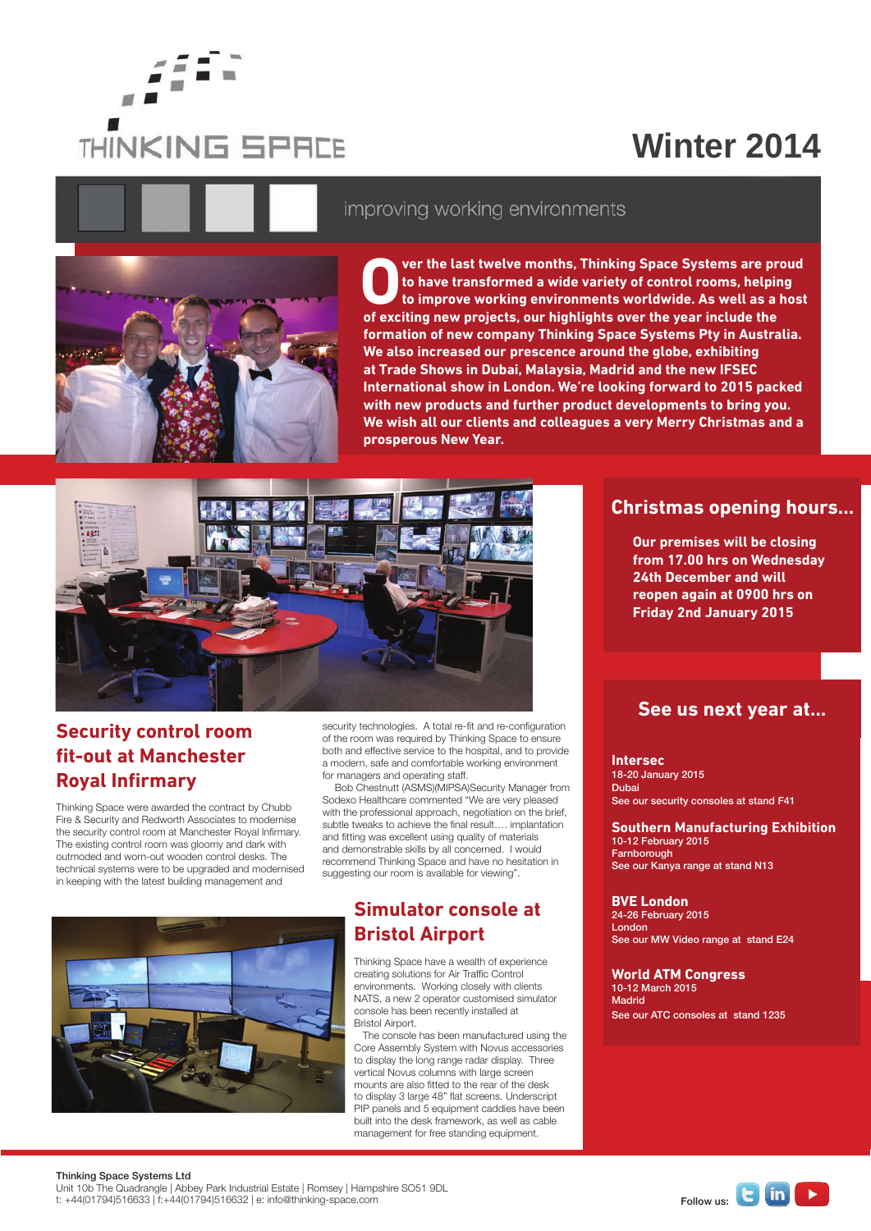

## **Winter 2014**



#### improving working environments

**Over the last twelve months, Thinking Space Systems are proud to have transformed a wide variety of control rooms, helping to improve working environments worldwide. As well as a host of exciting new projects, our highlights over the year include the formation of new company Thinking Space Systems Pty in Australia. We also increased our prescence around the globe, exhibiting at Trade Shows in Dubai, Malaysia, Madrid and the new IFSEC International show in London. We're looking forward to 2015 packed with new products and further product developments to bring you. We wish all our clients and colleagues a very Merry Christmas and a prosperous New Year.**



### **Security control room fit-out at Manchester Royal Infirmary**

Thinking Space were awarded the contract by Chubb Fire & Security and Redworth Associates to modernise the security control room at Manchester Royal Infirmary. The existing control room was gloomy and dark with outmoded and worn-out wooden control desks. The technical systems were to be upgraded and modernised in keeping with the latest building management and

security technologies. A total re-fit and re-configuration of the room was required by Thinking Space to ensure both and effective service to the hospital, and to provide a modern, safe and comfortable working environment for managers and operating staff.

Bob Chestnutt (ASMS)(MIPSA)Security Manager from Sodexo Healthcare commented "We are very pleased with the professional approach, negotiation on the brief, subtle tweaks to achieve the final result.... implantation and fitting was excellent using quality of materials and demonstrable skills by all concerned. I would recommend Thinking Space and have no hesitation in suggesting our room is available for viewing".

### **Simulator console at Bristol Airport**

Thinking Space have a wealth of experience creating solutions for Air Traffic Control environments. Working closely with clients NATS, a new 2 operator customised simulator console has been recently installed at Bristol Airport.

 The console has been manufactured using the Core Assembly System with Novus accessories to display the long range radar display. Three vertical Novus columns with large screen mounts are also fitted to the rear of the desk to display 3 large 48" flat screens. Underscript PIP panels and 5 equipment caddies have been built into the desk framework, as well as cable management for free standing equipment.

#### **Christmas opening hours...**

**Our premises will be closing from 17.00 hrs on Wednesday 24th December and will reopen again at 0900 hrs on Friday 2nd January 2015**

#### **See us next year at...**

**Intersec** 18-20 January 2015 Dubai See our security consoles at stand F41

**Southern Manufacturing Exhibition**  10-12 February 2015 Farnborough See our Kanya range at stand N13

**BVE London** 24-26 February 2015 London See our MW Video range at stand E24

**World ATM Congress** 10-12 March 2015 Madrid See our ATC consoles at stand 1235



Thinking Space Systems Ltd

Unit 10b The Quadrangle | Abbey Park Industrial Estate | Romsey | Hampshire SO51 9DL Unit 10b The Quadrangle | Abbey Park Industrial Estate | Romsey | Hampshire SO51 9DL<br>t: +44(01794)516633 | f:+44(01794)516632 | e: info@thinking-space.com Follow us: Follow us: Follow us: Follow us: Follow us: Follow us: